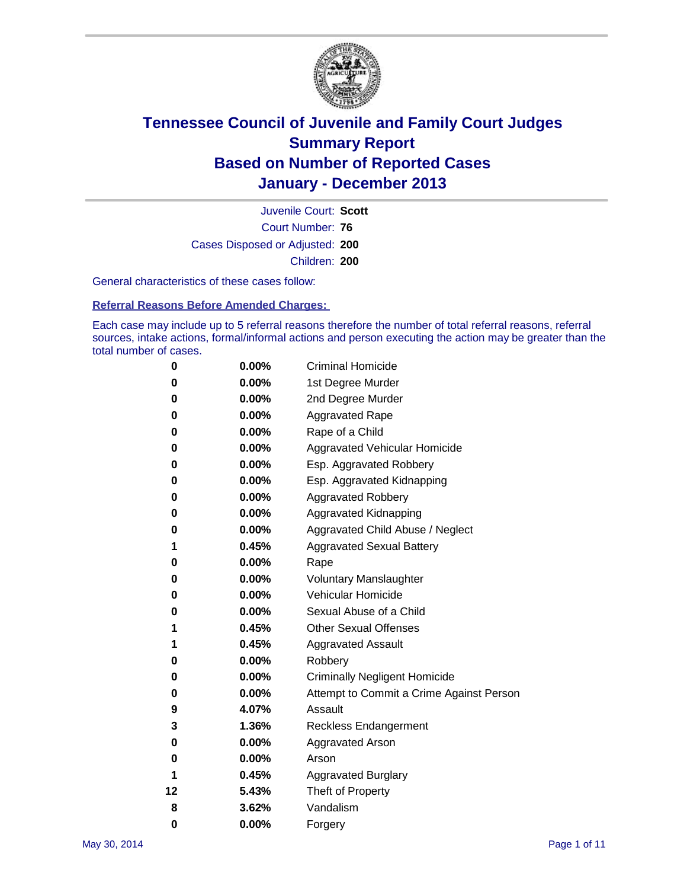

Court Number: **76** Juvenile Court: **Scott** Cases Disposed or Adjusted: **200** Children: **200**

General characteristics of these cases follow:

**Referral Reasons Before Amended Charges:** 

Each case may include up to 5 referral reasons therefore the number of total referral reasons, referral sources, intake actions, formal/informal actions and person executing the action may be greater than the total number of cases.

| 0  | $0.00\%$ | <b>Criminal Homicide</b>                 |
|----|----------|------------------------------------------|
| 0  | 0.00%    | 1st Degree Murder                        |
| 0  | 0.00%    | 2nd Degree Murder                        |
| 0  | $0.00\%$ | <b>Aggravated Rape</b>                   |
| 0  | 0.00%    | Rape of a Child                          |
| 0  | 0.00%    | <b>Aggravated Vehicular Homicide</b>     |
| 0  | $0.00\%$ | Esp. Aggravated Robbery                  |
| 0  | 0.00%    | Esp. Aggravated Kidnapping               |
| 0  | 0.00%    | <b>Aggravated Robbery</b>                |
| 0  | $0.00\%$ | Aggravated Kidnapping                    |
| 0  | 0.00%    | Aggravated Child Abuse / Neglect         |
| 1  | 0.45%    | <b>Aggravated Sexual Battery</b>         |
| 0  | $0.00\%$ | Rape                                     |
| 0  | 0.00%    | <b>Voluntary Manslaughter</b>            |
| 0  | 0.00%    | Vehicular Homicide                       |
| 0  | $0.00\%$ | Sexual Abuse of a Child                  |
| 1  | 0.45%    | <b>Other Sexual Offenses</b>             |
| 1  | 0.45%    | <b>Aggravated Assault</b>                |
| 0  | 0.00%    | Robbery                                  |
| 0  | 0.00%    | <b>Criminally Negligent Homicide</b>     |
| 0  | 0.00%    | Attempt to Commit a Crime Against Person |
| 9  | 4.07%    | Assault                                  |
| 3  | 1.36%    | <b>Reckless Endangerment</b>             |
| 0  | 0.00%    | <b>Aggravated Arson</b>                  |
| 0  | 0.00%    | Arson                                    |
| 1  | 0.45%    | <b>Aggravated Burglary</b>               |
| 12 | 5.43%    | Theft of Property                        |
| 8  | 3.62%    | Vandalism                                |
| 0  | 0.00%    | Forgery                                  |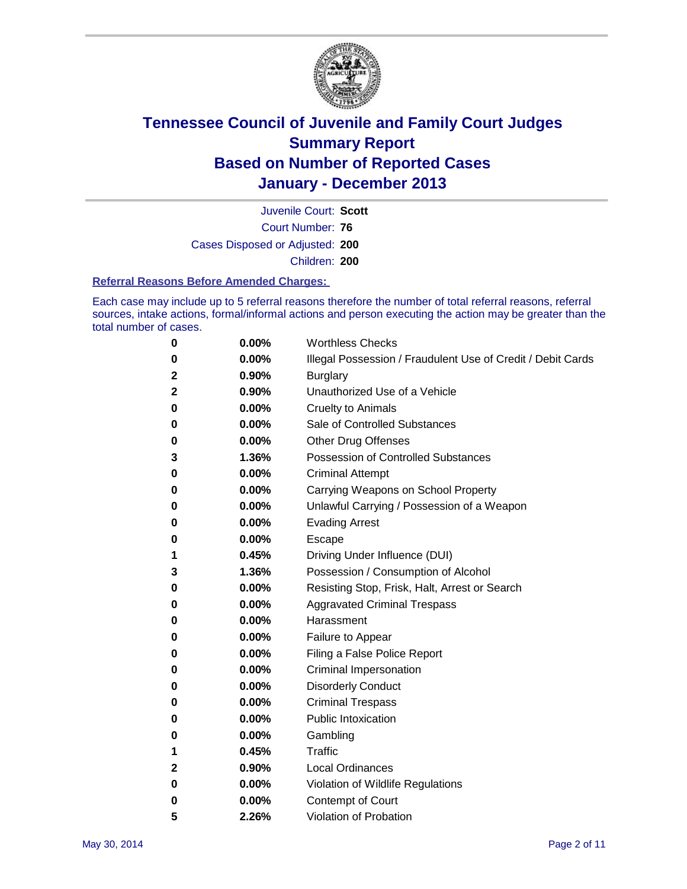

Court Number: **76** Juvenile Court: **Scott** Cases Disposed or Adjusted: **200** Children: **200**

#### **Referral Reasons Before Amended Charges:**

Each case may include up to 5 referral reasons therefore the number of total referral reasons, referral sources, intake actions, formal/informal actions and person executing the action may be greater than the total number of cases.

| 0            | 0.00%    | <b>Worthless Checks</b>                                     |
|--------------|----------|-------------------------------------------------------------|
| 0            | 0.00%    | Illegal Possession / Fraudulent Use of Credit / Debit Cards |
| 2            | 0.90%    | <b>Burglary</b>                                             |
| $\mathbf{2}$ | 0.90%    | Unauthorized Use of a Vehicle                               |
| 0            | 0.00%    | <b>Cruelty to Animals</b>                                   |
| 0            | 0.00%    | Sale of Controlled Substances                               |
| 0            | 0.00%    | <b>Other Drug Offenses</b>                                  |
| 3            | 1.36%    | Possession of Controlled Substances                         |
| 0            | 0.00%    | <b>Criminal Attempt</b>                                     |
| 0            | 0.00%    | Carrying Weapons on School Property                         |
| 0            | 0.00%    | Unlawful Carrying / Possession of a Weapon                  |
| 0            | 0.00%    | <b>Evading Arrest</b>                                       |
| 0            | 0.00%    | Escape                                                      |
| 1            | 0.45%    | Driving Under Influence (DUI)                               |
| 3            | 1.36%    | Possession / Consumption of Alcohol                         |
| 0            | 0.00%    | Resisting Stop, Frisk, Halt, Arrest or Search               |
| 0            | $0.00\%$ | <b>Aggravated Criminal Trespass</b>                         |
| 0            | 0.00%    | Harassment                                                  |
| 0            | $0.00\%$ | Failure to Appear                                           |
| 0            | 0.00%    | Filing a False Police Report                                |
| 0            | $0.00\%$ | Criminal Impersonation                                      |
| 0            | 0.00%    | <b>Disorderly Conduct</b>                                   |
| 0            | 0.00%    | <b>Criminal Trespass</b>                                    |
| 0            | 0.00%    | <b>Public Intoxication</b>                                  |
| 0            | 0.00%    | Gambling                                                    |
| 1            | 0.45%    | <b>Traffic</b>                                              |
| $\mathbf{2}$ | 0.90%    | <b>Local Ordinances</b>                                     |
| 0            | 0.00%    | Violation of Wildlife Regulations                           |
| 0            | 0.00%    | Contempt of Court                                           |
| 5            | 2.26%    | Violation of Probation                                      |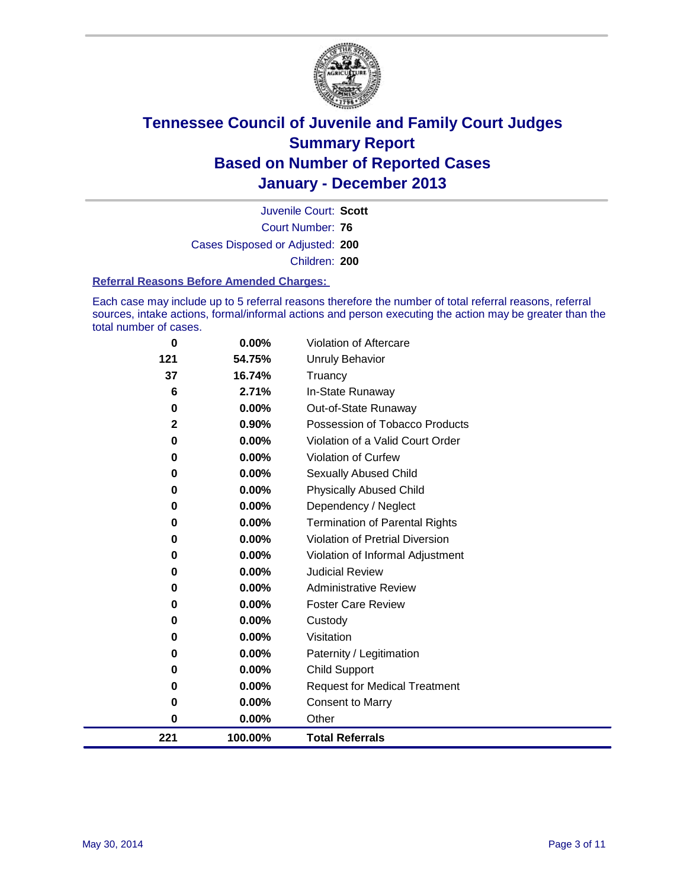

Court Number: **76** Juvenile Court: **Scott** Cases Disposed or Adjusted: **200** Children: **200**

#### **Referral Reasons Before Amended Charges:**

Each case may include up to 5 referral reasons therefore the number of total referral reasons, referral sources, intake actions, formal/informal actions and person executing the action may be greater than the total number of cases.

| 0   | $0.00\%$ | <b>Violation of Aftercare</b>          |
|-----|----------|----------------------------------------|
| 121 | 54.75%   | Unruly Behavior                        |
| 37  | 16.74%   | Truancy                                |
| 6   | 2.71%    | In-State Runaway                       |
| 0   | 0.00%    | Out-of-State Runaway                   |
| 2   | 0.90%    | Possession of Tobacco Products         |
| 0   | 0.00%    | Violation of a Valid Court Order       |
| 0   | 0.00%    | <b>Violation of Curfew</b>             |
| 0   | $0.00\%$ | Sexually Abused Child                  |
| 0   | 0.00%    | <b>Physically Abused Child</b>         |
| 0   | 0.00%    | Dependency / Neglect                   |
| 0   | $0.00\%$ | <b>Termination of Parental Rights</b>  |
| 0   | 0.00%    | <b>Violation of Pretrial Diversion</b> |
| 0   | 0.00%    | Violation of Informal Adjustment       |
| 0   | $0.00\%$ | <b>Judicial Review</b>                 |
| 0   | 0.00%    | <b>Administrative Review</b>           |
| 0   | 0.00%    | <b>Foster Care Review</b>              |
| 0   | 0.00%    | Custody                                |
| 0   | 0.00%    | Visitation                             |
| 0   | 0.00%    | Paternity / Legitimation               |
| 0   | 0.00%    | Child Support                          |
| 0   | 0.00%    | <b>Request for Medical Treatment</b>   |
| 0   | 0.00%    | <b>Consent to Marry</b>                |
| 0   | $0.00\%$ | Other                                  |
| 221 | 100.00%  | <b>Total Referrals</b>                 |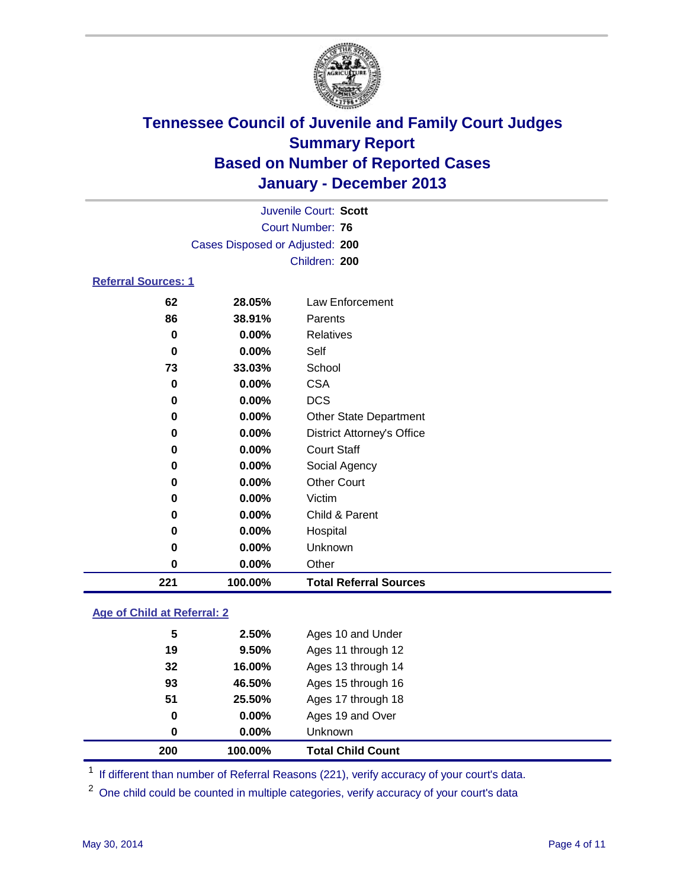

|                            | Juvenile Court: Scott           |                                   |  |  |  |
|----------------------------|---------------------------------|-----------------------------------|--|--|--|
|                            |                                 | <b>Court Number: 76</b>           |  |  |  |
|                            | Cases Disposed or Adjusted: 200 |                                   |  |  |  |
|                            |                                 | Children: 200                     |  |  |  |
| <b>Referral Sources: 1</b> |                                 |                                   |  |  |  |
| 62                         | 28.05%                          | Law Enforcement                   |  |  |  |
| 86                         | 38.91%                          | Parents                           |  |  |  |
| 0                          | 0.00%                           | Relatives                         |  |  |  |
| 0                          | 0.00%                           | Self                              |  |  |  |
| 73                         | 33.03%                          | School                            |  |  |  |
| 0                          | 0.00%                           | <b>CSA</b>                        |  |  |  |
| 0                          | 0.00%                           | <b>DCS</b>                        |  |  |  |
| 0                          | 0.00%                           | <b>Other State Department</b>     |  |  |  |
| 0                          | 0.00%                           | <b>District Attorney's Office</b> |  |  |  |
| 0                          | 0.00%                           | <b>Court Staff</b>                |  |  |  |
| 0                          | 0.00%                           | Social Agency                     |  |  |  |
| 0                          | 0.00%                           | <b>Other Court</b>                |  |  |  |
| 0                          | 0.00%                           | Victim                            |  |  |  |
| 0                          | 0.00%                           | Child & Parent                    |  |  |  |
| 0                          | 0.00%                           | Hospital                          |  |  |  |
| 0                          | 0.00%                           | Unknown                           |  |  |  |
| 0                          | 0.00%                           | Other                             |  |  |  |
| 221                        | 100.00%                         | <b>Total Referral Sources</b>     |  |  |  |

### **Age of Child at Referral: 2**

| 0<br>0 | 0.00%<br>$0.00\%$ | Ages 19 and Over<br><b>Unknown</b> |  |
|--------|-------------------|------------------------------------|--|
|        |                   |                                    |  |
|        |                   |                                    |  |
|        |                   | Ages 17 through 18                 |  |
| 93     | 46.50%            | Ages 15 through 16                 |  |
| 32     | 16.00%            | Ages 13 through 14                 |  |
| 19     | 9.50%             | Ages 11 through 12                 |  |
| 5      | 2.50%             | Ages 10 and Under                  |  |
|        | 51                | 25.50%                             |  |

<sup>1</sup> If different than number of Referral Reasons (221), verify accuracy of your court's data.

<sup>2</sup> One child could be counted in multiple categories, verify accuracy of your court's data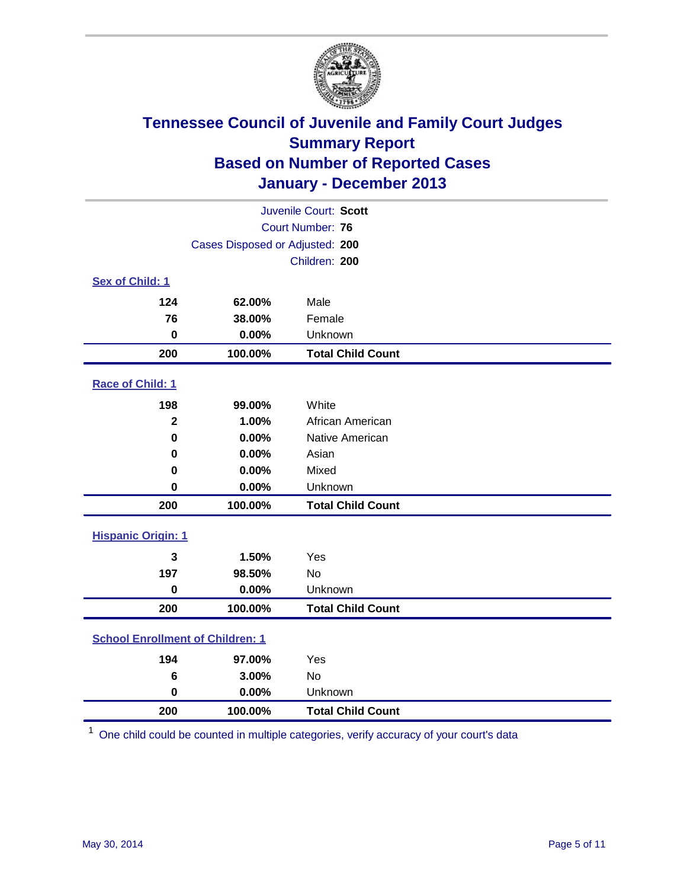

| Juvenile Court: Scott                   |         |                          |  |  |
|-----------------------------------------|---------|--------------------------|--|--|
|                                         |         | Court Number: 76         |  |  |
| Cases Disposed or Adjusted: 200         |         |                          |  |  |
|                                         |         | Children: 200            |  |  |
| Sex of Child: 1                         |         |                          |  |  |
| 124                                     | 62.00%  | Male                     |  |  |
| 76                                      | 38.00%  | Female                   |  |  |
| $\bf{0}$                                | 0.00%   | Unknown                  |  |  |
| 200                                     | 100.00% | <b>Total Child Count</b> |  |  |
| Race of Child: 1                        |         |                          |  |  |
| 198                                     | 99.00%  | White                    |  |  |
| $\overline{\mathbf{2}}$                 | 1.00%   | African American         |  |  |
| $\mathbf 0$                             | 0.00%   | Native American          |  |  |
| 0                                       | 0.00%   | Asian                    |  |  |
| 0                                       | 0.00%   | Mixed                    |  |  |
| $\mathbf 0$                             | 0.00%   | Unknown                  |  |  |
| 200                                     | 100.00% | <b>Total Child Count</b> |  |  |
| <b>Hispanic Origin: 1</b>               |         |                          |  |  |
| $\mathbf{3}$                            | 1.50%   | Yes                      |  |  |
| 197                                     | 98.50%  | No                       |  |  |
| $\bf{0}$                                | 0.00%   | Unknown                  |  |  |
| 200                                     | 100.00% | <b>Total Child Count</b> |  |  |
| <b>School Enrollment of Children: 1</b> |         |                          |  |  |
| 194                                     | 97.00%  | Yes                      |  |  |
| 6                                       | 3.00%   | <b>No</b>                |  |  |
| $\bf{0}$                                | 0.00%   | Unknown                  |  |  |
| 200                                     | 100.00% | <b>Total Child Count</b> |  |  |

One child could be counted in multiple categories, verify accuracy of your court's data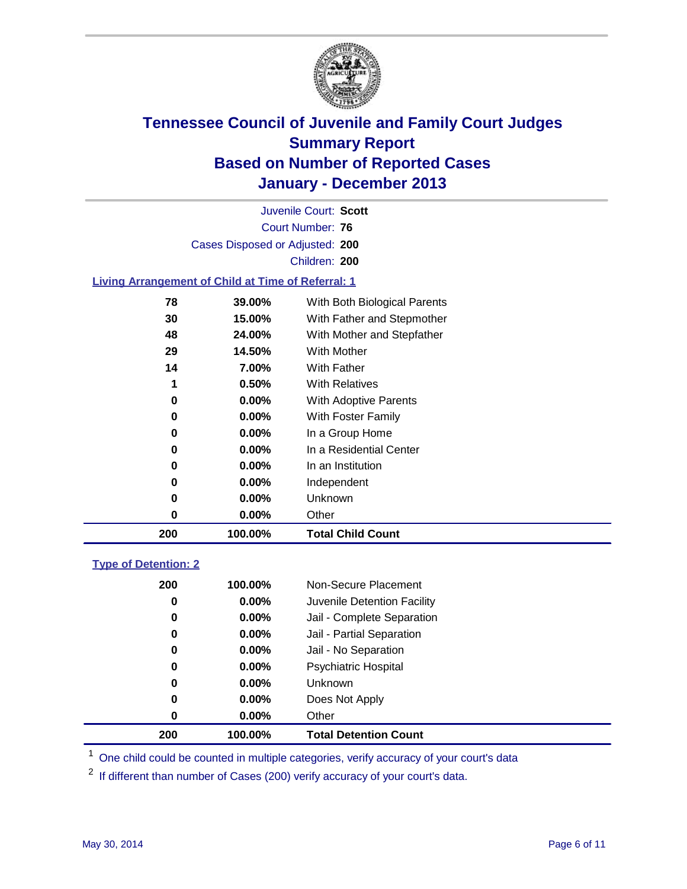

Court Number: **76** Juvenile Court: **Scott** Cases Disposed or Adjusted: **200** Children: **200**

### **Living Arrangement of Child at Time of Referral: 1**

| 200 | 100.00%  | <b>Total Child Count</b>     |
|-----|----------|------------------------------|
| 0   | 0.00%    | Other                        |
| 0   | $0.00\%$ | Unknown                      |
| 0   | $0.00\%$ | Independent                  |
| 0   | 0.00%    | In an Institution            |
| 0   | $0.00\%$ | In a Residential Center      |
| 0   | $0.00\%$ | In a Group Home              |
| 0   | $0.00\%$ | With Foster Family           |
| 0   | 0.00%    | <b>With Adoptive Parents</b> |
| 1   | 0.50%    | <b>With Relatives</b>        |
| 14  | 7.00%    | With Father                  |
| 29  | 14.50%   | With Mother                  |
| 48  | 24.00%   | With Mother and Stepfather   |
| 30  | 15.00%   | With Father and Stepmother   |
| 78  | 39.00%   | With Both Biological Parents |
|     |          |                              |

### **Type of Detention: 2**

| 200 | 100.00%  | <b>Total Detention Count</b> |  |
|-----|----------|------------------------------|--|
| 0   | 0.00%    | Other                        |  |
| 0   | $0.00\%$ | Does Not Apply               |  |
| 0   | $0.00\%$ | <b>Unknown</b>               |  |
| 0   | $0.00\%$ | <b>Psychiatric Hospital</b>  |  |
| 0   | 0.00%    | Jail - No Separation         |  |
| 0   | $0.00\%$ | Jail - Partial Separation    |  |
| 0   | $0.00\%$ | Jail - Complete Separation   |  |
| 0   | $0.00\%$ | Juvenile Detention Facility  |  |
| 200 | 100.00%  | Non-Secure Placement         |  |
|     |          |                              |  |

<sup>1</sup> One child could be counted in multiple categories, verify accuracy of your court's data

<sup>2</sup> If different than number of Cases (200) verify accuracy of your court's data.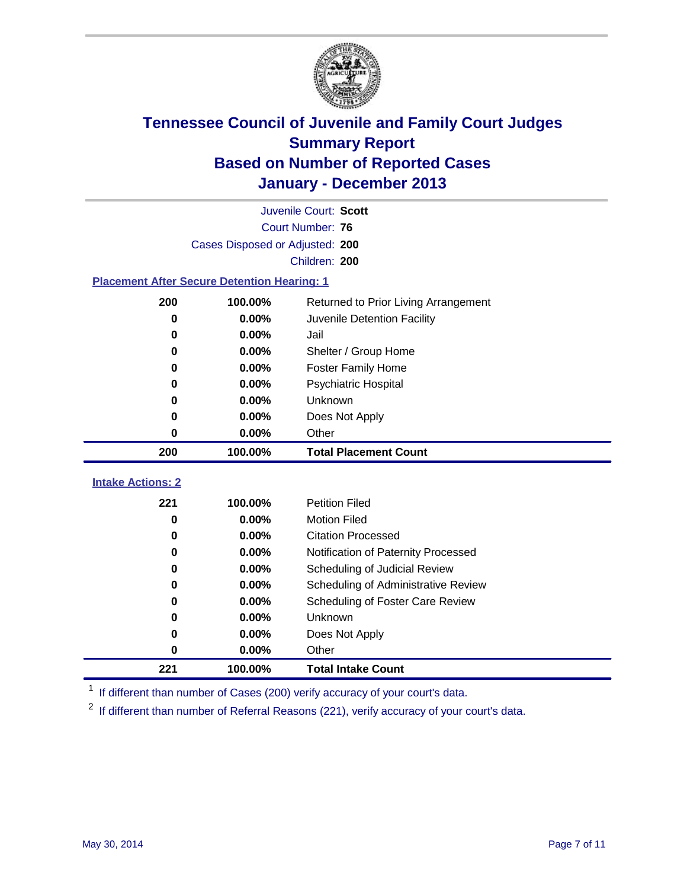

|                                                    | Juvenile Court: Scott                |                                     |  |  |  |  |
|----------------------------------------------------|--------------------------------------|-------------------------------------|--|--|--|--|
|                                                    | Court Number: 76                     |                                     |  |  |  |  |
|                                                    | Cases Disposed or Adjusted: 200      |                                     |  |  |  |  |
| Children: 200                                      |                                      |                                     |  |  |  |  |
| <b>Placement After Secure Detention Hearing: 1</b> |                                      |                                     |  |  |  |  |
| 200                                                | Returned to Prior Living Arrangement |                                     |  |  |  |  |
| 0                                                  | 0.00%                                | Juvenile Detention Facility         |  |  |  |  |
| 0                                                  | 0.00%                                | Jail                                |  |  |  |  |
| 0.00%<br>0                                         |                                      | Shelter / Group Home                |  |  |  |  |
| $\bf{0}$                                           | 0.00%                                | <b>Foster Family Home</b>           |  |  |  |  |
| 0                                                  | 0.00%                                | <b>Psychiatric Hospital</b>         |  |  |  |  |
| 0                                                  | 0.00%                                | Unknown                             |  |  |  |  |
| 0                                                  | 0.00%                                | Does Not Apply                      |  |  |  |  |
| 0                                                  | 0.00%                                | Other                               |  |  |  |  |
| 200                                                | 100.00%                              | <b>Total Placement Count</b>        |  |  |  |  |
|                                                    |                                      |                                     |  |  |  |  |
| <b>Intake Actions: 2</b>                           |                                      |                                     |  |  |  |  |
| 221                                                | 100.00%                              | <b>Petition Filed</b>               |  |  |  |  |
| 0                                                  | 0.00%                                | <b>Motion Filed</b>                 |  |  |  |  |
| 0                                                  | 0.00%                                | <b>Citation Processed</b>           |  |  |  |  |
| 0                                                  | 0.00%                                | Notification of Paternity Processed |  |  |  |  |
| 0                                                  | 0.00%                                | Scheduling of Judicial Review       |  |  |  |  |
| 0                                                  | 0.00%                                | Scheduling of Administrative Review |  |  |  |  |
| 0                                                  | 0.00%                                | Scheduling of Foster Care Review    |  |  |  |  |
| 0                                                  | 0.00%                                | Unknown                             |  |  |  |  |
| 0                                                  | 0.00%                                | Does Not Apply                      |  |  |  |  |
| 0                                                  | 0.00%                                | Other                               |  |  |  |  |
| 221                                                | 100.00%                              | <b>Total Intake Count</b>           |  |  |  |  |

<sup>1</sup> If different than number of Cases (200) verify accuracy of your court's data.

<sup>2</sup> If different than number of Referral Reasons (221), verify accuracy of your court's data.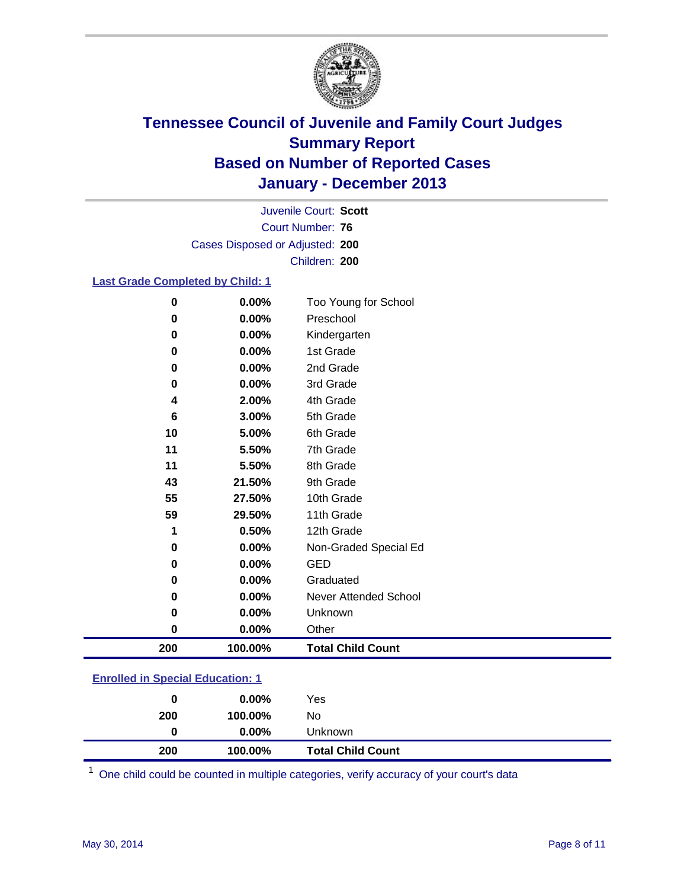

Court Number: **76** Juvenile Court: **Scott** Cases Disposed or Adjusted: **200** Children: **200**

#### **Last Grade Completed by Child: 1**

| $\mathbf 0$ | 0.00%   | Too Young for School     |
|-------------|---------|--------------------------|
| 0           | 0.00%   | Preschool                |
| 0           | 0.00%   | Kindergarten             |
| $\bf{0}$    | 0.00%   | 1st Grade                |
| $\bf{0}$    | 0.00%   | 2nd Grade                |
| $\bf{0}$    | 0.00%   | 3rd Grade                |
| 4           | 2.00%   | 4th Grade                |
| 6           | 3.00%   | 5th Grade                |
| 10          | 5.00%   | 6th Grade                |
| 11          | 5.50%   | 7th Grade                |
| 11          | 5.50%   | 8th Grade                |
| 43          | 21.50%  | 9th Grade                |
| 55          | 27.50%  | 10th Grade               |
| 59          | 29.50%  | 11th Grade               |
| 1           | 0.50%   | 12th Grade               |
| $\bf{0}$    | 0.00%   | Non-Graded Special Ed    |
| 0           | 0.00%   | <b>GED</b>               |
| 0           | 0.00%   | Graduated                |
| $\bf{0}$    | 0.00%   | Never Attended School    |
| 0           | 0.00%   | Unknown                  |
| $\bf{0}$    | 0.00%   | Other                    |
| 200         | 100.00% | <b>Total Child Count</b> |

| <b>Enrolled in Special Education: 1</b> |
|-----------------------------------------|
|-----------------------------------------|

| 200 | 100.00%  | <b>Total Child Count</b> |
|-----|----------|--------------------------|
| 0   | $0.00\%$ | Unknown                  |
| 200 | 100.00%  | No                       |
| 0   | $0.00\%$ | Yes                      |

One child could be counted in multiple categories, verify accuracy of your court's data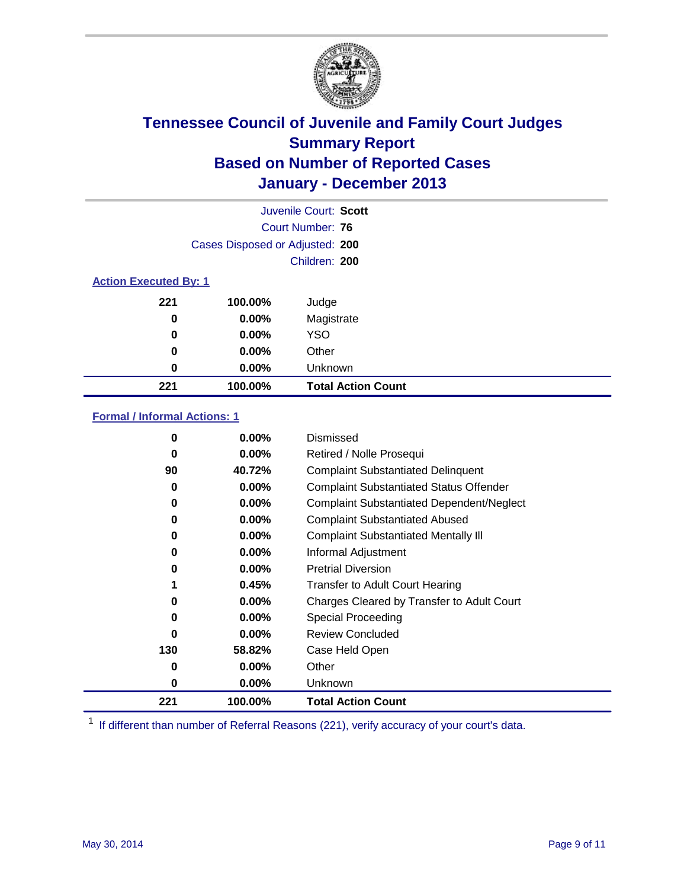

|                              |                                 | Juvenile Court: Scott     |
|------------------------------|---------------------------------|---------------------------|
|                              |                                 | Court Number: 76          |
|                              | Cases Disposed or Adjusted: 200 |                           |
|                              |                                 | Children: 200             |
| <b>Action Executed By: 1</b> |                                 |                           |
| 221                          | 100.00%                         | Judge                     |
| 0                            | $0.00\%$                        | Magistrate                |
| 0                            | $0.00\%$                        | <b>YSO</b>                |
| 0                            | $0.00\%$                        | Other                     |
| 0                            | $0.00\%$                        | Unknown                   |
| 221                          | 100.00%                         | <b>Total Action Count</b> |

### **Formal / Informal Actions: 1**

| 0   | $0.00\%$ | <b>Dismissed</b>                                 |
|-----|----------|--------------------------------------------------|
| 0   | $0.00\%$ | Retired / Nolle Prosequi                         |
| 90  | 40.72%   | <b>Complaint Substantiated Delinquent</b>        |
| 0   | $0.00\%$ | <b>Complaint Substantiated Status Offender</b>   |
| 0   | 0.00%    | <b>Complaint Substantiated Dependent/Neglect</b> |
| 0   | $0.00\%$ | <b>Complaint Substantiated Abused</b>            |
| 0   | $0.00\%$ | <b>Complaint Substantiated Mentally III</b>      |
| 0   | $0.00\%$ | Informal Adjustment                              |
| 0   | $0.00\%$ | <b>Pretrial Diversion</b>                        |
|     | 0.45%    | <b>Transfer to Adult Court Hearing</b>           |
| 0   | $0.00\%$ | Charges Cleared by Transfer to Adult Court       |
| 0   | $0.00\%$ | Special Proceeding                               |
| 0   | $0.00\%$ | <b>Review Concluded</b>                          |
| 130 | 58.82%   | Case Held Open                                   |
| 0   | $0.00\%$ | Other                                            |
| 0   | $0.00\%$ | Unknown                                          |
| 221 | 100.00%  | <b>Total Action Count</b>                        |

<sup>1</sup> If different than number of Referral Reasons (221), verify accuracy of your court's data.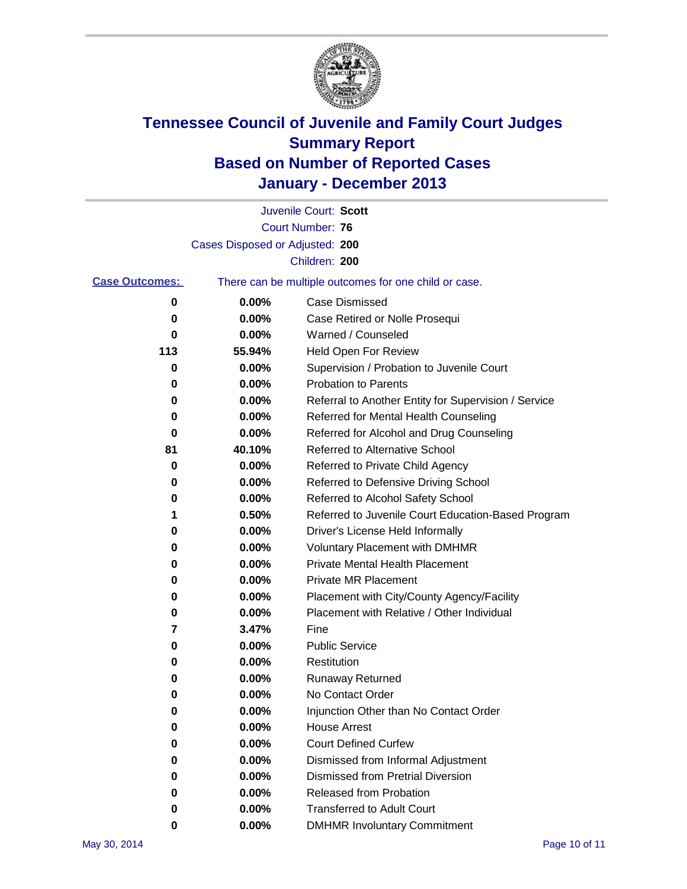

|                       |                                 | Juvenile Court: Scott                                 |
|-----------------------|---------------------------------|-------------------------------------------------------|
|                       |                                 | <b>Court Number: 76</b>                               |
|                       | Cases Disposed or Adjusted: 200 |                                                       |
|                       |                                 | Children: 200                                         |
| <b>Case Outcomes:</b> |                                 | There can be multiple outcomes for one child or case. |
| 0                     | 0.00%                           | Case Dismissed                                        |
| 0                     | 0.00%                           | Case Retired or Nolle Prosequi                        |
| 0                     | 0.00%                           | Warned / Counseled                                    |
| 113                   | 55.94%                          | Held Open For Review                                  |
| 0                     | 0.00%                           | Supervision / Probation to Juvenile Court             |
| 0                     | 0.00%                           | <b>Probation to Parents</b>                           |
| 0                     | 0.00%                           | Referral to Another Entity for Supervision / Service  |
| 0                     | 0.00%                           | Referred for Mental Health Counseling                 |
| 0                     | 0.00%                           | Referred for Alcohol and Drug Counseling              |
| 81                    | 40.10%                          | <b>Referred to Alternative School</b>                 |
| 0                     | 0.00%                           | Referred to Private Child Agency                      |
| 0                     | 0.00%                           | Referred to Defensive Driving School                  |
| 0                     | 0.00%                           | Referred to Alcohol Safety School                     |
| 1                     | 0.50%                           | Referred to Juvenile Court Education-Based Program    |
| 0                     | 0.00%                           | Driver's License Held Informally                      |
| 0                     | 0.00%                           | <b>Voluntary Placement with DMHMR</b>                 |
| 0                     | 0.00%                           | <b>Private Mental Health Placement</b>                |
| 0                     | 0.00%                           | <b>Private MR Placement</b>                           |
| 0                     | 0.00%                           | Placement with City/County Agency/Facility            |
| 0                     | 0.00%                           | Placement with Relative / Other Individual            |
| 7                     | 3.47%                           | Fine                                                  |
| 0                     | 0.00%                           | <b>Public Service</b>                                 |
| 0                     | 0.00%                           | Restitution                                           |
| 0                     | 0.00%                           | <b>Runaway Returned</b>                               |
| 0                     | 0.00%                           | No Contact Order                                      |
| 0                     | 0.00%                           | Injunction Other than No Contact Order                |
| 0                     | 0.00%                           | <b>House Arrest</b>                                   |
| 0                     | 0.00%                           | <b>Court Defined Curfew</b>                           |
| 0                     | 0.00%                           | Dismissed from Informal Adjustment                    |
| 0                     | 0.00%                           | <b>Dismissed from Pretrial Diversion</b>              |
| 0                     | 0.00%                           | Released from Probation                               |
| 0                     | 0.00%                           | <b>Transferred to Adult Court</b>                     |
| 0                     | $0.00\%$                        | <b>DMHMR Involuntary Commitment</b>                   |